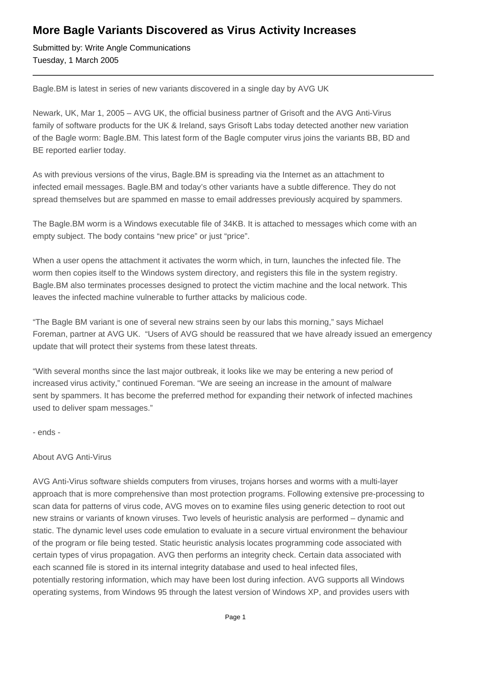## **More Bagle Variants Discovered as Virus Activity Increases**

Submitted by: Write Angle Communications Tuesday, 1 March 2005

Bagle.BM is latest in series of new variants discovered in a single day by AVG UK

Newark, UK, Mar 1, 2005 – AVG UK, the official business partner of Grisoft and the AVG Anti-Virus family of software products for the UK & Ireland, says Grisoft Labs today detected another new variation of the Bagle worm: Bagle.BM. This latest form of the Bagle computer virus joins the variants BB, BD and BE reported earlier today.

As with previous versions of the virus, Bagle.BM is spreading via the Internet as an attachment to infected email messages. Bagle.BM and today's other variants have a subtle difference. They do not spread themselves but are spammed en masse to email addresses previously acquired by spammers.

The Bagle.BM worm is a Windows executable file of 34KB. It is attached to messages which come with an empty subject. The body contains "new price" or just "price".

When a user opens the attachment it activates the worm which, in turn, launches the infected file. The worm then copies itself to the Windows system directory, and registers this file in the system registry. Bagle.BM also terminates processes designed to protect the victim machine and the local network. This leaves the infected machine vulnerable to further attacks by malicious code.

"The Bagle BM variant is one of several new strains seen by our labs this morning," says Michael Foreman, partner at AVG UK. "Users of AVG should be reassured that we have already issued an emergency update that will protect their systems from these latest threats.

"With several months since the last major outbreak, it looks like we may be entering a new period of increased virus activity," continued Foreman. "We are seeing an increase in the amount of malware sent by spammers. It has become the preferred method for expanding their network of infected machines used to deliver spam messages."

- ends -

## About AVG Anti-Virus

AVG Anti-Virus software shields computers from viruses, trojans horses and worms with a multi-layer approach that is more comprehensive than most protection programs. Following extensive pre-processing to scan data for patterns of virus code, AVG moves on to examine files using generic detection to root out new strains or variants of known viruses. Two levels of heuristic analysis are performed – dynamic and static. The dynamic level uses code emulation to evaluate in a secure virtual environment the behaviour of the program or file being tested. Static heuristic analysis locates programming code associated with certain types of virus propagation. AVG then performs an integrity check. Certain data associated with each scanned file is stored in its internal integrity database and used to heal infected files, potentially restoring information, which may have been lost during infection. AVG supports all Windows operating systems, from Windows 95 through the latest version of Windows XP, and provides users with